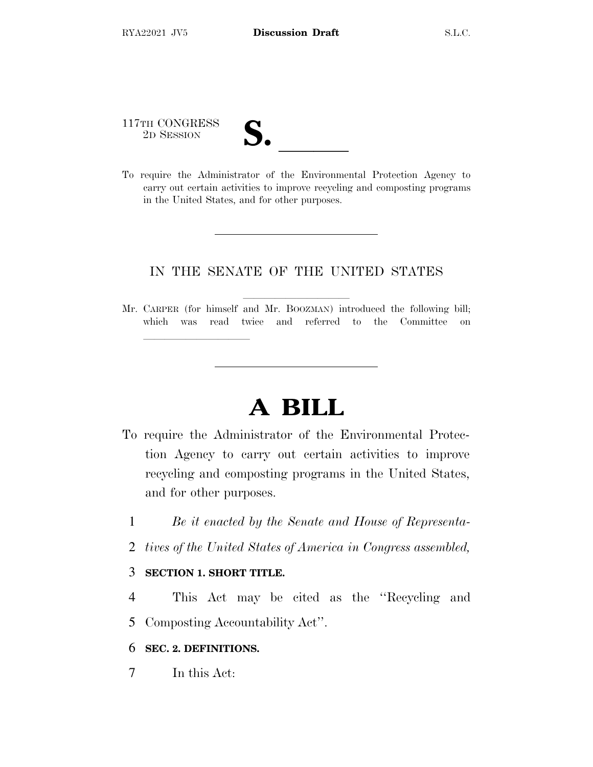117TH CONGRESS

lland and a state of the state of the state of the state of the state of the state of the state of the state o

117TH CONGRESS<br>
2D SESSION<br>
To require the Administrator of the Environmental Protection Agency to carry out certain activities to improve recycling and composting programs in the United States, and for other purposes.

### IN THE SENATE OF THE UNITED STATES

Mr. CARPER (for himself and Mr. BOOZMAN) introduced the following bill; which was read twice and referred to the Committee on

# **A BILL**

- To require the Administrator of the Environmental Protection Agency to carry out certain activities to improve recycling and composting programs in the United States, and for other purposes.
	- 1 *Be it enacted by the Senate and House of Representa-*
	- 2 *tives of the United States of America in Congress assembled,*

#### 3 **SECTION 1. SHORT TITLE.**

- 4 This Act may be cited as the ''Recycling and 5 Composting Accountability Act''.
- 6 **SEC. 2. DEFINITIONS.**
- 7 In this Act: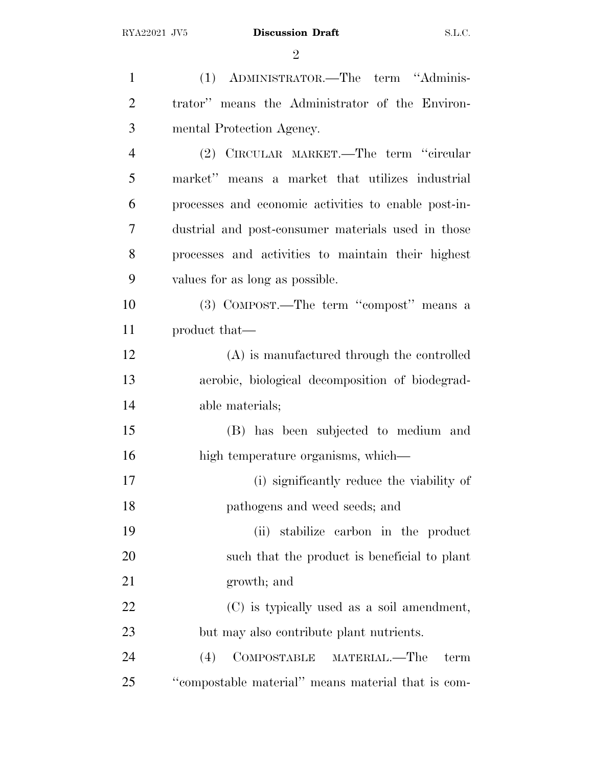| $\mathbf{1}$   | (1) ADMINISTRATOR.—The term "Adminis-                |
|----------------|------------------------------------------------------|
| $\overline{2}$ | trator" means the Administrator of the Environ-      |
| 3              | mental Protection Agency.                            |
| $\overline{4}$ | (2) CIRCULAR MARKET.—The term "circular              |
| 5              | market" means a market that utilizes industrial      |
| 6              | processes and economic activities to enable post-in- |
| 7              | dustrial and post-consumer materials used in those   |
| 8              | processes and activities to maintain their highest   |
| 9              | values for as long as possible.                      |
| 10             | (3) COMPOST.—The term "compost" means a              |
| 11             | product that—                                        |
| 12             | (A) is manufactured through the controlled           |
| 13             | aerobic, biological decomposition of biodegrad-      |
| 14             | able materials;                                      |
| 15             | (B) has been subjected to medium and                 |
| 16             | high temperature organisms, which—                   |
| 17             | (i) significantly reduce the viability of            |
| 18             | pathogens and weed seeds; and                        |
| 19             | stabilize carbon in the product<br>(ii)              |
| 20             | such that the product is beneficial to plant         |
| 21             | growth; and                                          |
| 22             | (C) is typically used as a soil amendment,           |
| 23             | but may also contribute plant nutrients.             |
| 24             | COMPOSTABLE MATERIAL.-The<br>(4)<br>term             |
| 25             | "compostable material" means material that is com-   |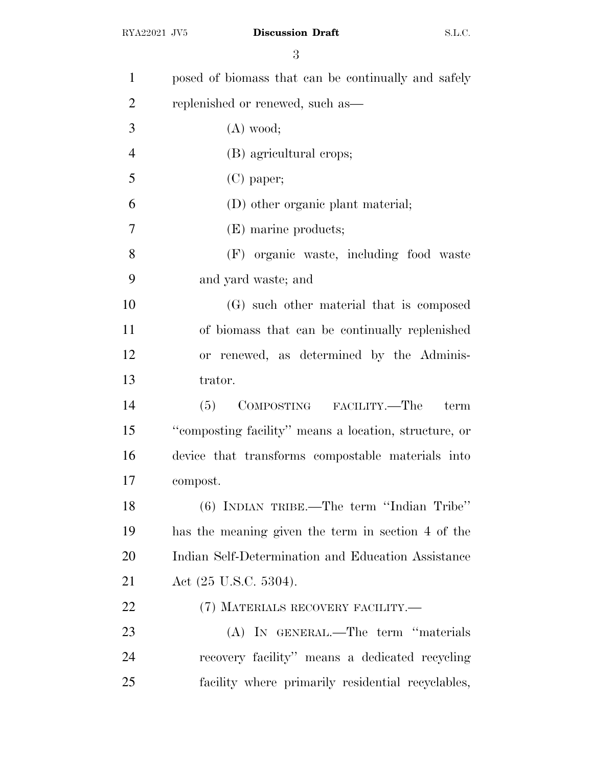| $\mathbf{1}$   | posed of biomass that can be continually and safely   |
|----------------|-------------------------------------------------------|
| $\overline{2}$ | replenished or renewed, such as—                      |
| 3              | $(A)$ wood;                                           |
| $\overline{4}$ | (B) agricultural crops;                               |
| 5              | $(C)$ paper;                                          |
| 6              | (D) other organic plant material;                     |
| $\overline{7}$ | (E) marine products;                                  |
| 8              | (F) organic waste, including food waste               |
| 9              | and yard waste; and                                   |
| 10             | (G) such other material that is composed              |
| 11             | of biomass that can be continually replenished        |
| 12             | or renewed, as determined by the Adminis-             |
| 13             | trator.                                               |
| 14             | (5)<br>COMPOSTING FACILITY.—The<br>term               |
| 15             | "composting facility" means a location, structure, or |
| 16             | device that transforms compostable materials into     |
| 17             | compost.                                              |
| 18             | $(6)$ INDIAN TRIBE.—The term "Indian Tribe"           |
| 19             | has the meaning given the term in section 4 of the    |
| 20             | Indian Self-Determination and Education Assistance    |
| 21             | Act $(25 \text{ U.S.C. } 5304)$ .                     |
| 22             | (7) MATERIALS RECOVERY FACILITY.—                     |
| 23             | (A) IN GENERAL.—The term "materials                   |
| 24             | recovery facility" means a dedicated recycling        |
| 25             | facility where primarily residential recyclables,     |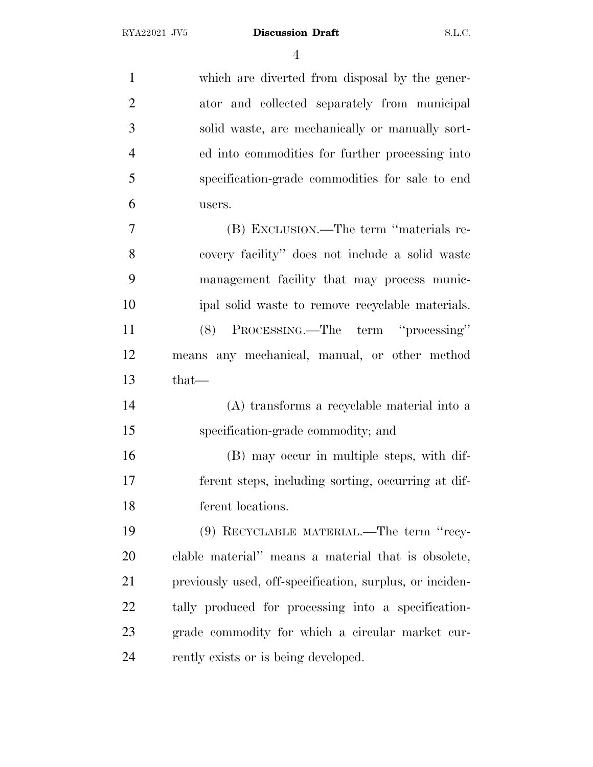which are diverted from disposal by the gener- ator and collected separately from municipal solid waste, are mechanically or manually sort- ed into commodities for further processing into specification-grade commodities for sale to end users. (B) EXCLUSION.—The term ''materials re- covery facility'' does not include a solid waste management facility that may process munic- ipal solid waste to remove recyclable materials. (8) PROCESSING.—The term ''processing'' means any mechanical, manual, or other method that— (A) transforms a recyclable material into a specification-grade commodity; and (B) may occur in multiple steps, with dif- ferent steps, including sorting, occurring at dif- ferent locations. (9) RECYCLABLE MATERIAL.—The term ''recy- clable material'' means a material that is obsolete, previously used, off-specification, surplus, or inciden- tally produced for processing into a specification- grade commodity for which a circular market cur-24 rently exists or is being developed.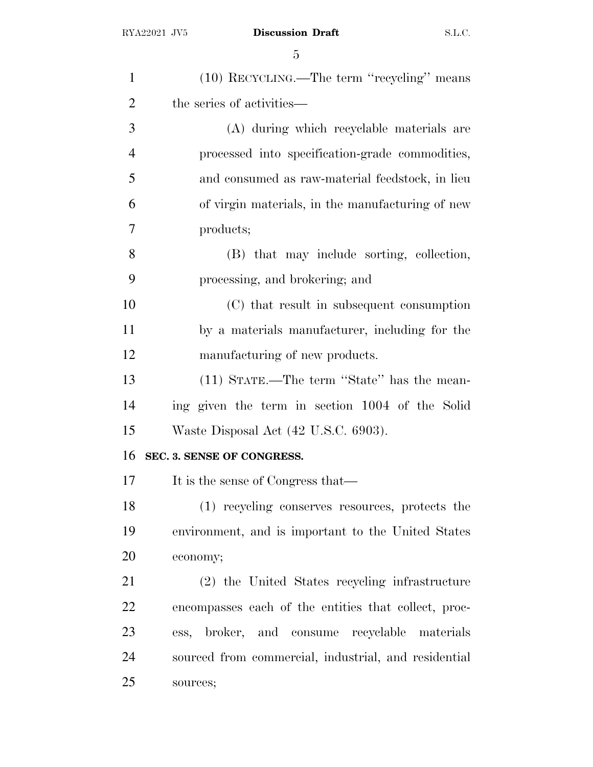| $\mathbf{1}$   | (10) RECYCLING.—The term "recycling" means           |
|----------------|------------------------------------------------------|
| $\overline{2}$ | the series of activities—                            |
| 3              | (A) during which recyclable materials are            |
| $\overline{4}$ | processed into specification-grade commodities,      |
| 5              | and consumed as raw-material feedstock, in lieu      |
| 6              | of virgin materials, in the manufacturing of new     |
| 7              | products;                                            |
| 8              | (B) that may include sorting, collection,            |
| 9              | processing, and brokering; and                       |
| 10             | (C) that result in subsequent consumption            |
| 11             | by a materials manufacturer, including for the       |
| 12             | manufacturing of new products.                       |
| 13             | (11) STATE.—The term "State" has the mean-           |
| 14             | ing given the term in section 1004 of the Solid      |
| 15             | Waste Disposal Act (42 U.S.C. 6903).                 |
| 16             | SEC. 3. SENSE OF CONGRESS.                           |
| 17             | It is the sense of Congress that—                    |
| 18             | (1) recycling conserves resources, protects the      |
| 19             | environment, and is important to the United States   |
| 20             | economy;                                             |
| 21             | (2) the United States recycling infrastructure       |
| 22             | encompasses each of the entities that collect, proc- |
| 23             | ess, broker, and consume recyclable materials        |
| 24             | sourced from commercial, industrial, and residential |
| 25             | sources;                                             |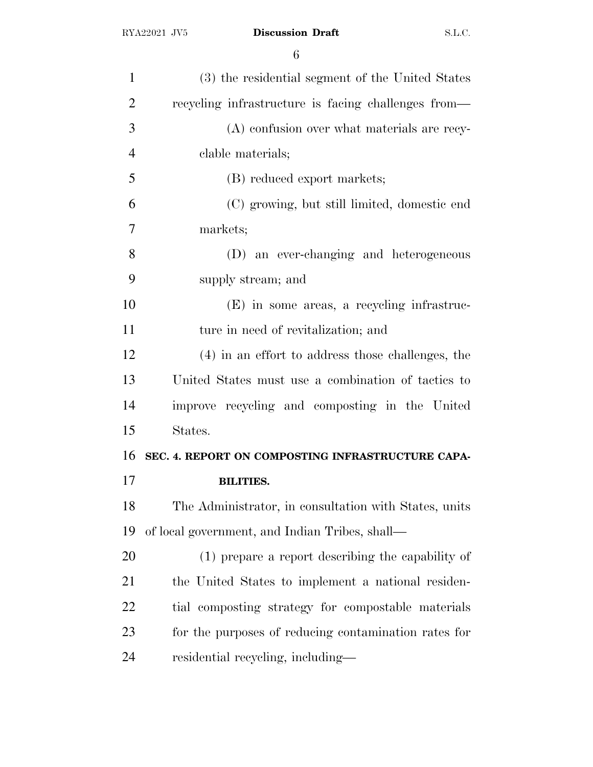| $\mathbf{1}$   | (3) the residential segment of the United States      |
|----------------|-------------------------------------------------------|
| $\overline{2}$ | recycling infrastructure is facing challenges from—   |
| 3              | (A) confusion over what materials are recy-           |
| $\overline{4}$ | clable materials;                                     |
| 5              | (B) reduced export markets;                           |
| 6              | (C) growing, but still limited, domestic end          |
| 7              | markets;                                              |
| 8              | (D) an ever-changing and heterogeneous                |
| 9              | supply stream; and                                    |
| 10             | (E) in some areas, a recycling infrastruc-            |
| 11             | ture in need of revitalization; and                   |
| 12             | (4) in an effort to address those challenges, the     |
| 13             | United States must use a combination of tactics to    |
| 14             | improve recycling and composting in the United        |
| 15             | States.                                               |
| 16             | SEC. 4. REPORT ON COMPOSTING INFRASTRUCTURE CAPA-     |
| 17             | <b>BILITIES.</b>                                      |
| 18             | The Administrator, in consultation with States, units |
| 19             | of local government, and Indian Tribes, shall—        |
| 20             | (1) prepare a report describing the capability of     |
| 21             | the United States to implement a national residen-    |
| 22             |                                                       |
|                | tial composting strategy for compostable materials    |
| 23             | for the purposes of reducing contamination rates for  |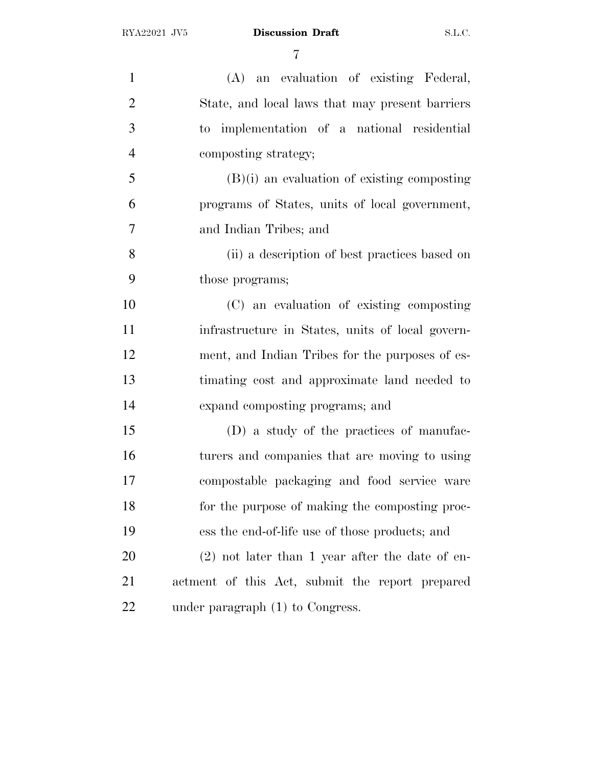| $\mathbf{1}$   | (A) an evaluation of existing Federal,            |
|----------------|---------------------------------------------------|
| $\overline{2}$ | State, and local laws that may present barriers   |
| 3              | to implementation of a national residential       |
| $\overline{4}$ | composting strategy;                              |
| 5              | $(B)(i)$ an evaluation of existing composting     |
| 6              | programs of States, units of local government,    |
| $\tau$         | and Indian Tribes; and                            |
| 8              | (ii) a description of best practices based on     |
| 9              | those programs;                                   |
| 10             | (C) an evaluation of existing composting          |
| 11             | infrastructure in States, units of local govern-  |
| 12             | ment, and Indian Tribes for the purposes of es-   |
| 13             | timating cost and approximate land needed to      |
| 14             | expand composting programs; and                   |
| 15             | (D) a study of the practices of manufac-          |
| 16             | turers and companies that are moving to using     |
| 17             | compostable packaging and food service ware       |
| 18             | for the purpose of making the composting proc-    |
| 19             | ess the end-of-life use of those products; and    |
| 20             | $(2)$ not later than 1 year after the date of en- |
| 21             | actment of this Act, submit the report prepared   |
| 22             | under paragraph $(1)$ to Congress.                |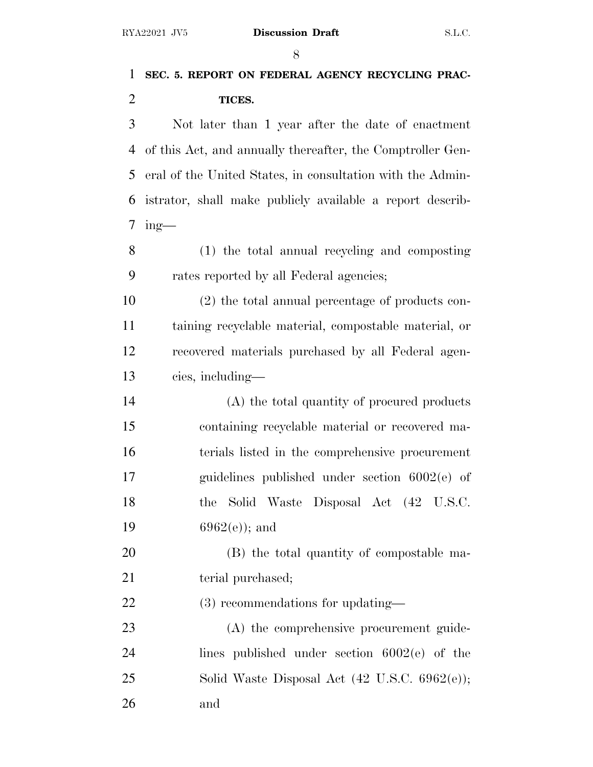# **SEC. 5. REPORT ON FEDERAL AGENCY RECYCLING PRAC-TICES.**

 Not later than 1 year after the date of enactment of this Act, and annually thereafter, the Comptroller Gen- eral of the United States, in consultation with the Admin- istrator, shall make publicly available a report describ-ing-

 (1) the total annual recycling and composting rates reported by all Federal agencies;

 (2) the total annual percentage of products con- taining recyclable material, compostable material, or recovered materials purchased by all Federal agen-cies, including—

 (A) the total quantity of procured products containing recyclable material or recovered ma- terials listed in the comprehensive procurement guidelines published under section 6002(e) of the Solid Waste Disposal Act (42 U.S.C.  $6962(e)$ ; and

 (B) the total quantity of compostable ma-21 terial purchased;

(3) recommendations for updating—

 (A) the comprehensive procurement guide- lines published under section 6002(e) of the Solid Waste Disposal Act (42 U.S.C. 6962(e)); and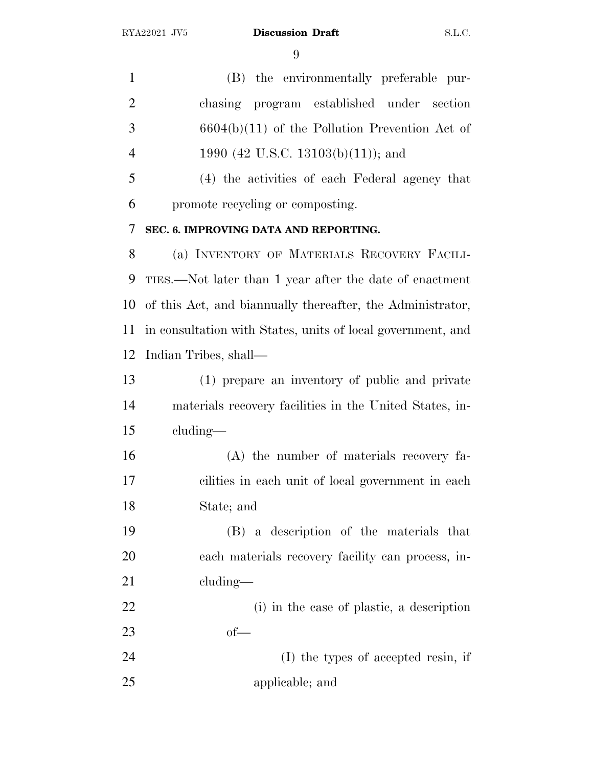(B) the environmentally preferable pur- chasing program established under section 6604(b)(11) of the Pollution Prevention Act of 4 1990 (42 U.S.C. 13103(b)(11)); and

 (4) the activities of each Federal agency that promote recycling or composting.

#### **SEC. 6. IMPROVING DATA AND REPORTING.**

 (a) INVENTORY OF MATERIALS RECOVERY FACILI- TIES.—Not later than 1 year after the date of enactment of this Act, and biannually thereafter, the Administrator, in consultation with States, units of local government, and Indian Tribes, shall—

 (1) prepare an inventory of public and private materials recovery facilities in the United States, in-cluding—

 (A) the number of materials recovery fa- cilities in each unit of local government in each State; and

 (B) a description of the materials that each materials recovery facility can process, in-cluding—

 (i) in the case of plastic, a description of—

 (I) the types of accepted resin, if applicable; and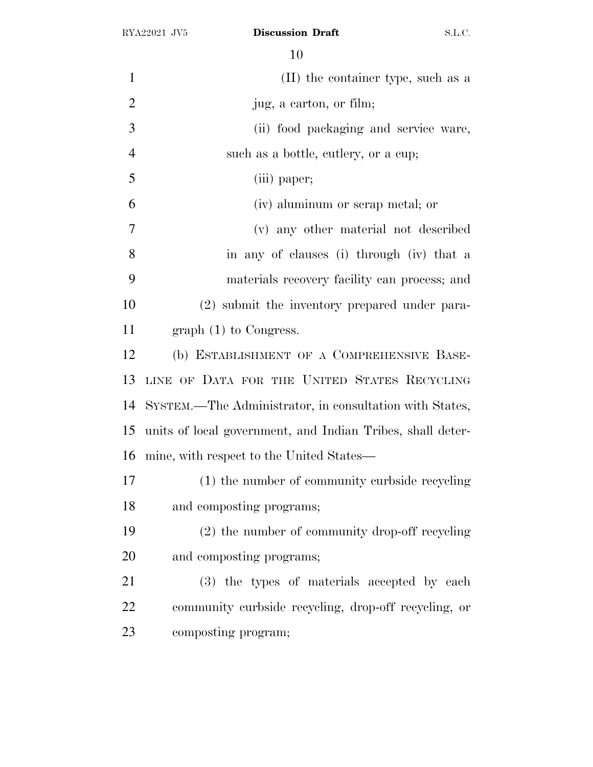| $\mathbf{1}$   | (II) the container type, such as a                         |
|----------------|------------------------------------------------------------|
| $\overline{2}$ | jug, a carton, or film;                                    |
| 3              | (ii) food packaging and service ware,                      |
| $\overline{4}$ | such as a bottle, cutlery, or a cup;                       |
| 5              | (iii) paper;                                               |
| 6              | (iv) aluminum or scrap metal; or                           |
| 7              | (v) any other material not described                       |
| 8              | in any of clauses (i) through (iv) that a                  |
| 9              | materials recovery facility can process; and               |
| 10             | (2) submit the inventory prepared under para-              |
| 11             | graph $(1)$ to Congress.                                   |
| 12             | (b) ESTABLISHMENT OF A COMPREHENSIVE BASE-                 |
| 13             | LINE OF DATA FOR THE UNITED STATES RECYCLING               |
| 14             | SYSTEM.—The Administrator, in consultation with States,    |
| 15             | units of local government, and Indian Tribes, shall deter- |
| 16             | mine, with respect to the United States—                   |
| 17             | (1) the number of community curbside recycling             |
| 18             | and composting programs;                                   |
| 19             | (2) the number of community drop-off recycling             |
| 20             | and composting programs;                                   |
| 21             | (3) the types of materials accepted by each                |
| 22             | community curbside recycling, drop-off recycling, or       |
| 23             | composting program;                                        |
|                |                                                            |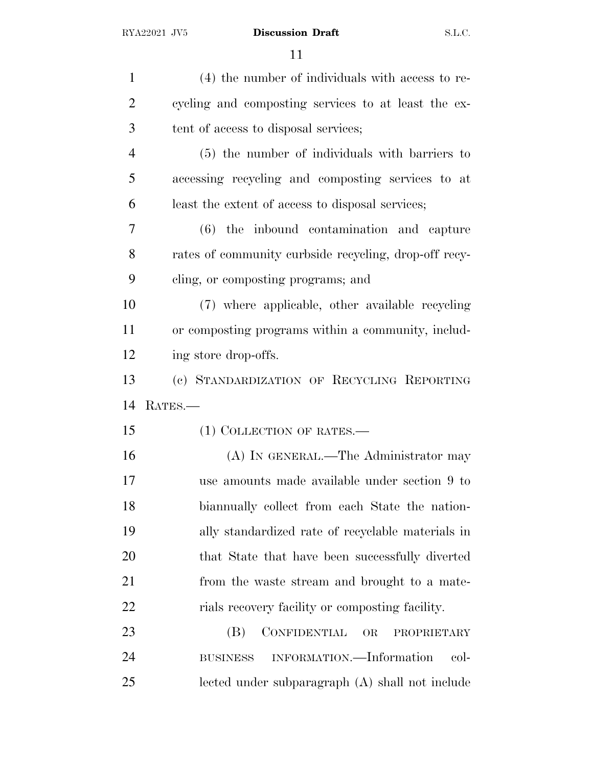| $\mathbf{1}$   | (4) the number of individuals with access to re-      |
|----------------|-------------------------------------------------------|
| $\overline{2}$ | cycling and composting services to at least the ex-   |
| 3              | tent of access to disposal services;                  |
| $\overline{4}$ | (5) the number of individuals with barriers to        |
| 5              | accessing recycling and composting services to at     |
| 6              | least the extent of access to disposal services;      |
| 7              | (6) the inbound contamination and capture             |
| 8              | rates of community curbside recycling, drop-off recy- |
| 9              | cling, or composting programs; and                    |
| 10             | (7) where applicable, other available recycling       |
| 11             | or composting programs within a community, includ-    |
| 12             | ing store drop-offs.                                  |
| 13             | (c) STANDARDIZATION OF RECYCLING REPORTING            |
| 14             | RATES.-                                               |
| 15             | (1) COLLECTION OF RATES.—                             |
| 16             | (A) IN GENERAL.—The Administrator may                 |
| 17             | use amounts made available under section 9 to         |
| 18             | biannually collect from each State the nation-        |
| 19             | ally standardized rate of recyclable materials in     |
| 20             | that State that have been successfully diverted       |
| 21             | from the waste stream and brought to a mate-          |
| 22             | rials recovery facility or composting facility.       |
| 23             | CONFIDENTIAL<br>(B)<br>OR<br>PROPRIETARY              |
| 24             | INFORMATION.—Information<br>col-<br><b>BUSINESS</b>   |
| 25             | lected under subparagraph (A) shall not include       |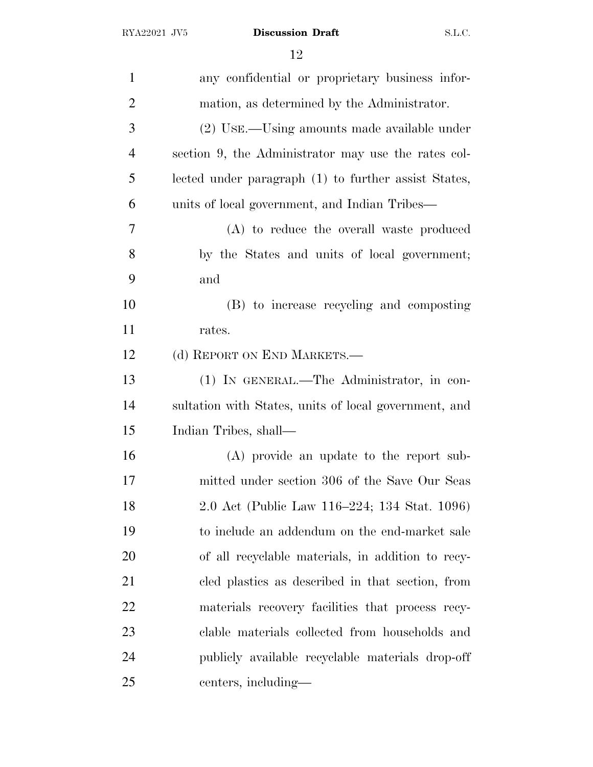| $\mathbf{1}$   | any confidential or proprietary business infor-       |
|----------------|-------------------------------------------------------|
| $\overline{2}$ | mation, as determined by the Administrator.           |
| 3              | (2) USE.—Using amounts made available under           |
| $\overline{4}$ | section 9, the Administrator may use the rates col-   |
| 5              | lected under paragraph (1) to further assist States,  |
| 6              | units of local government, and Indian Tribes—         |
| 7              | (A) to reduce the overall waste produced              |
| 8              | by the States and units of local government;          |
| 9              | and                                                   |
| 10             | (B) to increase recycling and composting              |
| 11             | rates.                                                |
| 12             | (d) REPORT ON END MARKETS.—                           |
| 13             | (1) IN GENERAL.—The Administrator, in con-            |
| 14             | sultation with States, units of local government, and |
| 15             | Indian Tribes, shall—                                 |
| 16             | (A) provide an update to the report sub-              |
| 17             | mitted under section 306 of the Save Our Seas         |
| 18             | 2.0 Act (Public Law 116–224; 134 Stat. 1096)          |
| 19             | to include an addendum on the end-market sale         |
| 20             | of all recyclable materials, in addition to recy-     |
| 21             | cled plastics as described in that section, from      |
| 22             | materials recovery facilities that process recy-      |
| 23             | clable materials collected from households and        |
| 24             | publicly available recyclable materials drop-off      |
| 25             | centers, including—                                   |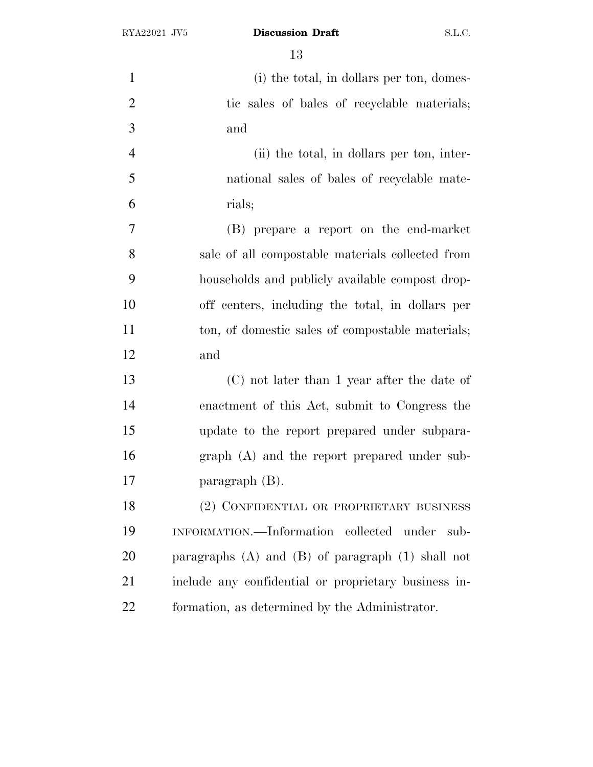| $\mathbf{1}$   | (i) the total, in dollars per ton, domes-               |
|----------------|---------------------------------------------------------|
| $\overline{2}$ | tic sales of bales of recyclable materials;             |
| 3              | and                                                     |
| $\overline{4}$ | (ii) the total, in dollars per ton, inter-              |
| 5              | national sales of bales of recyclable mate-             |
| 6              | rials;                                                  |
| 7              | (B) prepare a report on the end-market                  |
| 8              | sale of all compostable materials collected from        |
| 9              | households and publicly available compost drop-         |
| 10             | off centers, including the total, in dollars per        |
| 11             | ton, of domestic sales of compostable materials;        |
| 12             | and                                                     |
| 13             | (C) not later than 1 year after the date of             |
| 14             | enactment of this Act, submit to Congress the           |
| 15             | update to the report prepared under subpara-            |
| 16             | graph (A) and the report prepared under sub-            |
| 17             | paragraph $(B)$ .                                       |
| 18             | (2) CONFIDENTIAL OR PROPRIETARY BUSINESS                |
| 19             | INFORMATION.—Information collected under sub-           |
| 20             | paragraphs $(A)$ and $(B)$ of paragraph $(1)$ shall not |
| 21             | include any confidential or proprietary business in-    |
| 22             | formation, as determined by the Administrator.          |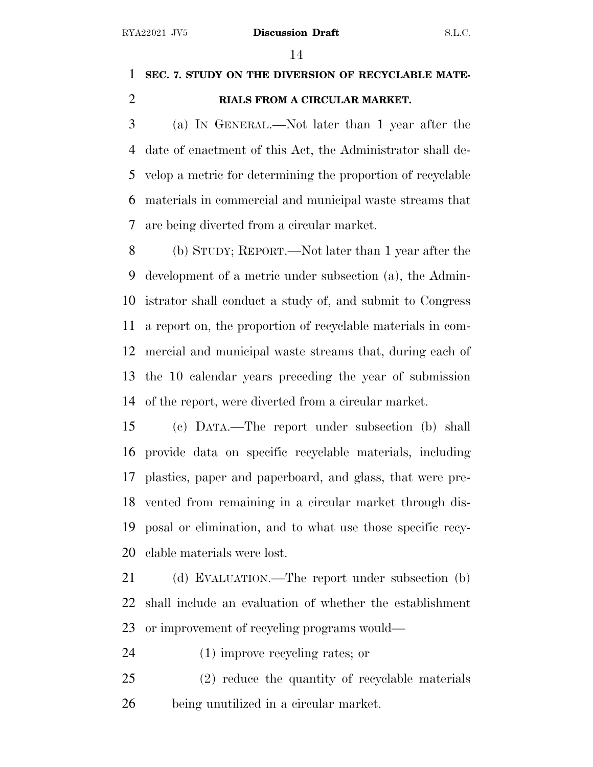## **SEC. 7. STUDY ON THE DIVERSION OF RECYCLABLE MATE-RIALS FROM A CIRCULAR MARKET.**

 (a) I<sup>N</sup> GENERAL.—Not later than 1 year after the date of enactment of this Act, the Administrator shall de- velop a metric for determining the proportion of recyclable materials in commercial and municipal waste streams that are being diverted from a circular market.

 (b) STUDY; REPORT.—Not later than 1 year after the development of a metric under subsection (a), the Admin- istrator shall conduct a study of, and submit to Congress a report on, the proportion of recyclable materials in com- mercial and municipal waste streams that, during each of the 10 calendar years preceding the year of submission of the report, were diverted from a circular market.

 (c) DATA.—The report under subsection (b) shall provide data on specific recyclable materials, including plastics, paper and paperboard, and glass, that were pre- vented from remaining in a circular market through dis- posal or elimination, and to what use those specific recy-clable materials were lost.

 (d) EVALUATION.—The report under subsection (b) shall include an evaluation of whether the establishment or improvement of recycling programs would—

(1) improve recycling rates; or

 (2) reduce the quantity of recyclable materials being unutilized in a circular market.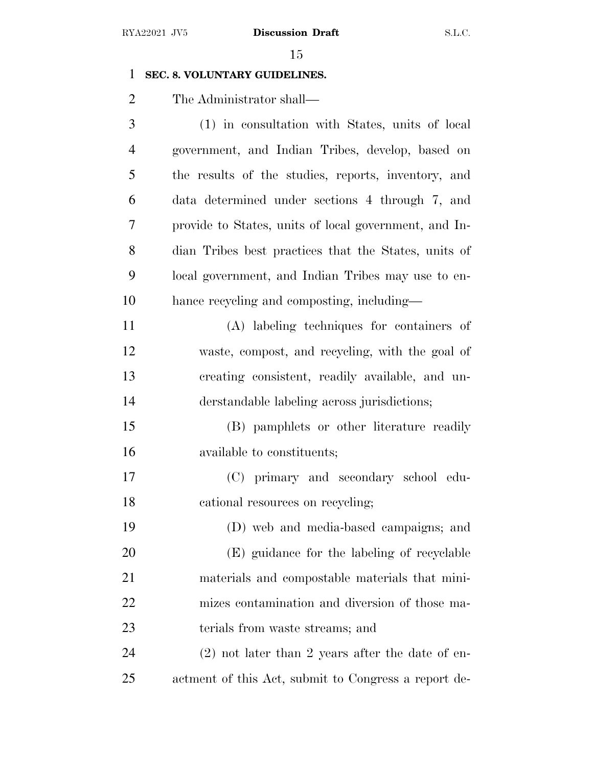#### **SEC. 8. VOLUNTARY GUIDELINES.**

The Administrator shall—

 (1) in consultation with States, units of local government, and Indian Tribes, develop, based on the results of the studies, reports, inventory, and data determined under sections 4 through 7, and provide to States, units of local government, and In- dian Tribes best practices that the States, units of local government, and Indian Tribes may use to en- hance recycling and composting, including— (A) labeling techniques for containers of waste, compost, and recycling, with the goal of creating consistent, readily available, and un- derstandable labeling across jurisdictions; (B) pamphlets or other literature readily available to constituents; (C) primary and secondary school edu-18 cational resources on recycling; (D) web and media-based campaigns; and (E) guidance for the labeling of recyclable materials and compostable materials that mini- mizes contamination and diversion of those ma-23 terials from waste streams; and

 (2) not later than 2 years after the date of en-actment of this Act, submit to Congress a report de-